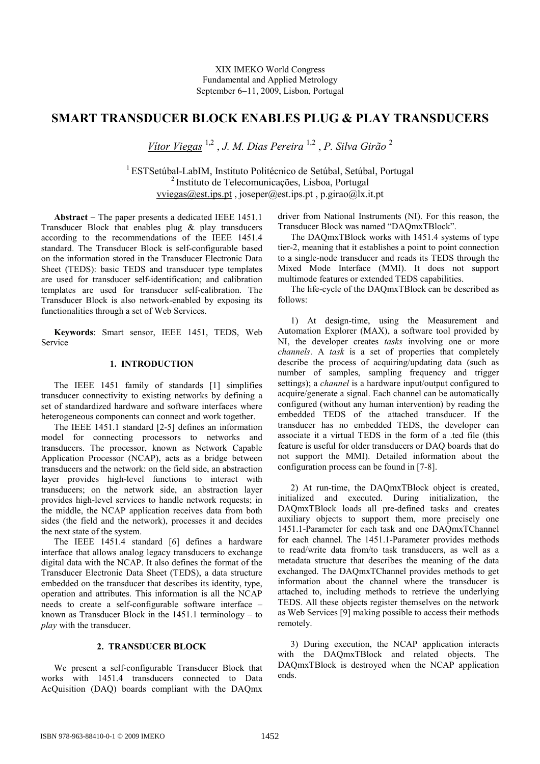# **SMART TRANSDUCER BLOCK ENABLES PLUG & PLAY TRANSDUCERS**

*Vítor Viegas* 1,2 , *J. M. Dias Pereira* 1,2 , *P. Silva Girão* <sup>2</sup>

<sup>1</sup> ESTSetúbal-LabIM, Instituto Politécnico de Setúbal, Setúbal, Portugal <sup>2</sup>Instituto de Telecomunicações, Lisboa, Portugal vviegas@est.ips.pt , joseper@est.ips.pt , p.girao@lx.it.pt

**Abstract** − The paper presents a dedicated IEEE 1451.1 Transducer Block that enables plug & play transducers according to the recommendations of the IEEE 1451.4 standard. The Transducer Block is self-configurable based on the information stored in the Transducer Electronic Data Sheet (TEDS): basic TEDS and transducer type templates are used for transducer self-identification; and calibration templates are used for transducer self-calibration. The Transducer Block is also network-enabled by exposing its functionalities through a set of Web Services.

**Keywords**: Smart sensor, IEEE 1451, TEDS, Web Service

# **1. INTRODUCTION**

The IEEE 1451 family of standards [1] simplifies transducer connectivity to existing networks by defining a set of standardized hardware and software interfaces where heterogeneous components can connect and work together.

The IEEE 1451.1 standard [2-5] defines an information model for connecting processors to networks and transducers. The processor, known as Network Capable Application Processor (NCAP), acts as a bridge between transducers and the network: on the field side, an abstraction layer provides high-level functions to interact with transducers; on the network side, an abstraction layer provides high-level services to handle network requests; in the middle, the NCAP application receives data from both sides (the field and the network), processes it and decides the next state of the system.

The IEEE 1451.4 standard [6] defines a hardware interface that allows analog legacy transducers to exchange digital data with the NCAP. It also defines the format of the Transducer Electronic Data Sheet (TEDS), a data structure embedded on the transducer that describes its identity, type, operation and attributes. This information is all the NCAP needs to create a self-configurable software interface – known as Transducer Block in the 1451.1 terminology – to *play* with the transducer.

#### **2. TRANSDUCER BLOCK**

We present a self-configurable Transducer Block that works with 1451.4 transducers connected to Data AcQuisition (DAQ) boards compliant with the DAQmx

driver from National Instruments (NI). For this reason, the Transducer Block was named "DAQmxTBlock".

The DAQmxTBlock works with 1451.4 systems of type tier-2, meaning that it establishes a point to point connection to a single-node transducer and reads its TEDS through the Mixed Mode Interface (MMI). It does not support multimode features or extended TEDS capabilities.

The life-cycle of the DAQmxTBlock can be described as follows:

1) At design-time, using the Measurement and Automation Explorer (MAX), a software tool provided by NI, the developer creates *tasks* involving one or more *channels*. A *task* is a set of properties that completely describe the process of acquiring/updating data (such as number of samples, sampling frequency and trigger settings); a *channel* is a hardware input/output configured to acquire/generate a signal. Each channel can be automatically configured (without any human intervention) by reading the embedded TEDS of the attached transducer. If the transducer has no embedded TEDS, the developer can associate it a virtual TEDS in the form of a .ted file (this feature is useful for older transducers or DAQ boards that do not support the MMI). Detailed information about the configuration process can be found in [7-8].

2) At run-time, the DAQmxTBlock object is created, initialized and executed. During initialization, the DAQmxTBlock loads all pre-defined tasks and creates auxiliary objects to support them, more precisely one 1451.1-Parameter for each task and one DAQmxTChannel for each channel. The 1451.1-Parameter provides methods to read/write data from/to task transducers, as well as a metadata structure that describes the meaning of the data exchanged. The DAQmxTChannel provides methods to get information about the channel where the transducer is attached to, including methods to retrieve the underlying TEDS. All these objects register themselves on the network as Web Services [9] making possible to access their methods remotely.

3) During execution, the NCAP application interacts with the DAQmxTBlock and related objects. The DAQmxTBlock is destroyed when the NCAP application ends.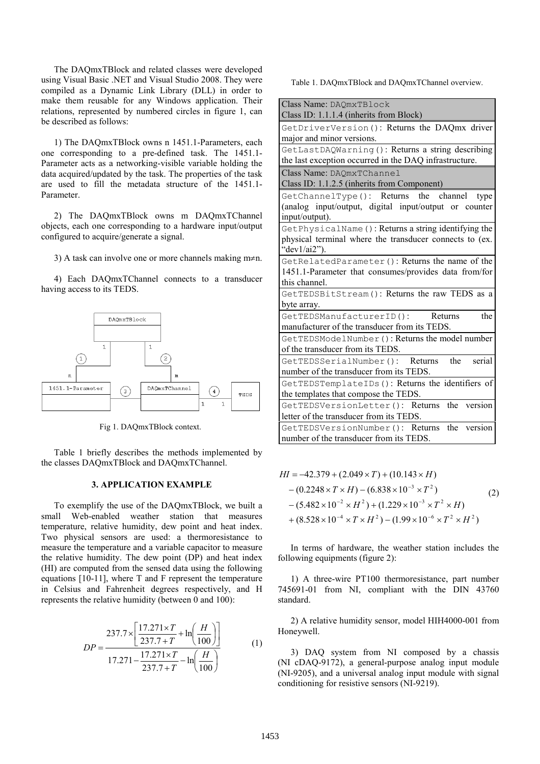The DAQmxTBlock and related classes were developed using Visual Basic .NET and Visual Studio 2008. They were compiled as a Dynamic Link Library (DLL) in order to make them reusable for any Windows application. Their relations, represented by numbered circles in figure 1, can be described as follows:

1) The DAQmxTBlock owns n 1451.1-Parameters, each one corresponding to a pre-defined task. The 1451.1- Parameter acts as a networking-visible variable holding the data acquired/updated by the task. The properties of the task are used to fill the metadata structure of the 1451.1- Parameter.

2) The DAQmxTBlock owns m DAQmxTChannel objects, each one corresponding to a hardware input/output configured to acquire/generate a signal.

3) A task can involve one or more channels making m≠n.

4) Each DAQmxTChannel connects to a transducer having access to its TEDS.



Fig 1. DAQmxTBlock context.

Table 1 briefly describes the methods implemented by the classes DAQmxTBlock and DAQmxTChannel.

### **3. APPLICATION EXAMPLE**

To exemplify the use of the DAQmxTBlock, we built a small Web-enabled weather station that measures temperature, relative humidity, dew point and heat index. Two physical sensors are used: a thermoresistance to measure the temperature and a variable capacitor to measure the relative humidity. The dew point (DP) and heat index (HI) are computed from the sensed data using the following equations [10-11], where T and F represent the temperature in Celsius and Fahrenheit degrees respectively, and H represents the relative humidity (between 0 and 100):

$$
DP = \frac{237.7 \times \left[ \frac{17.271 \times T}{237.7 + T} + \ln\left(\frac{H}{100}\right) \right]}{17.271 - \frac{17.271 \times T}{237.7 + T} - \ln\left(\frac{H}{100}\right)}
$$
(1)

Table 1. DAQmxTBlock and DAQmxTChannel overview.

| Class Name: DAQmxTBlock                                                                                                             |
|-------------------------------------------------------------------------------------------------------------------------------------|
| Class ID: 1.1.1.4 (inherits from Block)                                                                                             |
| GetDriverVersion (): Returns the DAQmx driver                                                                                       |
| major and minor versions.                                                                                                           |
| GetLastDAQWarning (): Returns a string describing                                                                                   |
| the last exception occurred in the DAQ infrastructure.                                                                              |
| Class Name: DAQmxTChannel<br>Class ID: 1.1.2.5 (inherits from Component)                                                            |
| GetChannelType(): Returns<br>the<br>channel<br>type<br>(analog input/output, digital input/output or counter<br>input/output).      |
| GetPhysicalName (): Returns a string identifying the<br>physical terminal where the transducer connects to (ex.<br>" $dev1/ai2$ "). |
| GetRelatedParameter (): Returns the name of the<br>1451.1-Parameter that consumes/provides data from/for<br>this channel.           |
| GetTEDSBitStream (): Returns the raw TEDS as a<br>byte array.                                                                       |
| GetTEDSManufacturerID():<br>the<br>Returns<br>manufacturer of the transducer from its TEDS.                                         |
| GetTEDSModelNumber (): Returns the model number<br>of the transducer from its TEDS.                                                 |
| serial<br>GetTEDSSerialNumber(): Returns<br>the                                                                                     |
| number of the transducer from its TEDS.                                                                                             |
| GetTEDSTemplateIDs(): Returns the identifiers of                                                                                    |
| the templates that compose the TEDS.                                                                                                |
| GetTEDSVersionLetter(): Returns<br>version<br>the<br>letter of the transducer from its TEDS.                                        |
| GetTEDSVersionNumber(): Returns<br>the<br>version                                                                                   |
| number of the transducer from its TEDS.                                                                                             |

$$
HI = -42.379 + (2.049 \times T) + (10.143 \times H)
$$
  
\n
$$
- (0.2248 \times T \times H) - (6.838 \times 10^{-3} \times T^{2})
$$
  
\n
$$
- (5.482 \times 10^{-2} \times H^{2}) + (1.229 \times 10^{-3} \times T^{2} \times H)
$$
  
\n
$$
+ (8.528 \times 10^{-4} \times T \times H^{2}) - (1.99 \times 10^{-6} \times T^{2} \times H^{2})
$$
 (2)

In terms of hardware, the weather station includes the following equipments (figure 2):

1) A three-wire PT100 thermoresistance, part number 745691-01 from NI, compliant with the DIN 43760 standard.

2) A relative humidity sensor, model HIH4000-001 from Honeywell.

3) DAQ system from NI composed by a chassis (NI cDAQ-9172), a general-purpose analog input module (NI-9205), and a universal analog input module with signal conditioning for resistive sensors (NI-9219).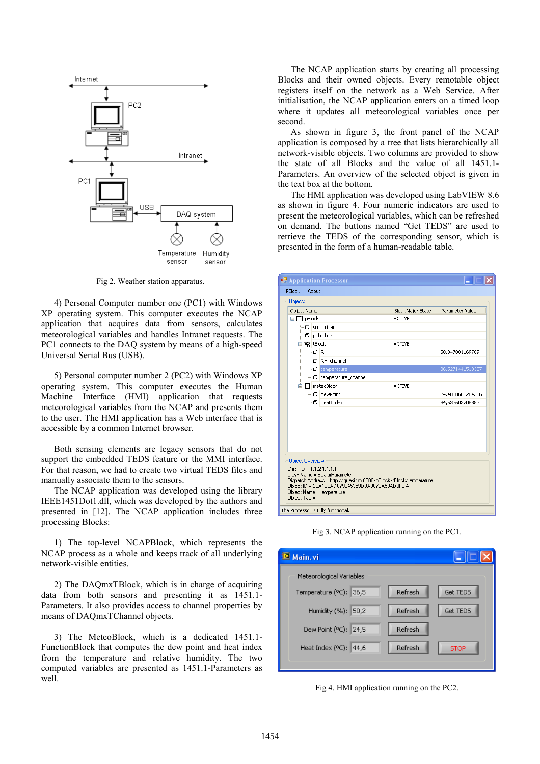

Fig 2. Weather station apparatus.

4) Personal Computer number one (PC1) with Windows XP operating system. This computer executes the NCAP application that acquires data from sensors, calculates meteorological variables and handles Intranet requests. The PC1 connects to the DAQ system by means of a high-speed Universal Serial Bus (USB).

5) Personal computer number 2 (PC2) with Windows XP operating system. This computer executes the Human Machine Interface (HMI) application that requests meteorological variables from the NCAP and presents them to the user. The HMI application has a Web interface that is accessible by a common Internet browser.

Both sensing elements are legacy sensors that do not support the embedded TEDS feature or the MMI interface. For that reason, we had to create two virtual TEDS files and manually associate them to the sensors.

The NCAP application was developed using the library IEEE1451Dot1.dll, which was developed by the authors and presented in [12]. The NCAP application includes three processing Blocks:

1) The top-level NCAPBlock, which represents the NCAP process as a whole and keeps track of all underlying network-visible entities.

2) The DAQmxTBlock, which is in charge of acquiring data from both sensors and presenting it as 1451.1- Parameters. It also provides access to channel properties by means of DAQmxTChannel objects.

3) The MeteoBlock, which is a dedicated 1451.1- FunctionBlock that computes the dew point and heat index from the temperature and relative humidity. The two computed variables are presented as 1451.1-Parameters as well.

The NCAP application starts by creating all processing Blocks and their owned objects. Every remotable object registers itself on the network as a Web Service. After initialisation, the NCAP application enters on a timed loop where it updates all meteorological variables once per second.

As shown in figure 3, the front panel of the NCAP application is composed by a tree that lists hierarchically all network-visible objects. Two columns are provided to show the state of all Blocks and the value of all 1451.1- Parameters. An overview of the selected object is given in the text box at the bottom.

The HMI application was developed using LabVIEW 8.6 as shown in figure 4. Four numeric indicators are used to present the meteorological variables, which can be refreshed on demand. The buttons named "Get TEDS" are used to retrieve the TEDS of the corresponding sensor, which is presented in the form of a human-readable table.

| <b>OF</b> Application Processor                                                                   |                                                                                                                                                     |                          |                  |
|---------------------------------------------------------------------------------------------------|-----------------------------------------------------------------------------------------------------------------------------------------------------|--------------------------|------------------|
| <b>PBlock</b><br>About                                                                            |                                                                                                                                                     |                          |                  |
| <b>Objects</b>                                                                                    |                                                                                                                                                     |                          |                  |
| Object Name                                                                                       |                                                                                                                                                     | <b>Block Major State</b> | Parameter Value  |
| <b>E</b> - <b>P</b> pBlock                                                                        |                                                                                                                                                     | <b>ACTIVE</b>            |                  |
| $\Box$ Subscriber                                                                                 |                                                                                                                                                     |                          |                  |
| $\Box$ publisher                                                                                  |                                                                                                                                                     |                          |                  |
| 自图 tBlock                                                                                         |                                                                                                                                                     | <b>ACTIVE</b>            |                  |
| l⊶nd RH                                                                                           |                                                                                                                                                     |                          | 50,047881169709  |
|                                                                                                   | $-\Box$ RH channel                                                                                                                                  |                          |                  |
|                                                                                                   | $\Box$ $\Box$ temperature                                                                                                                           |                          | 36,5271441513337 |
|                                                                                                   | … 団 temperature_channel                                                                                                                             |                          |                  |
| 白-工 meteoBlock                                                                                    |                                                                                                                                                     | <b>ACTIVE</b>            |                  |
|                                                                                                   | - □ dewPoint                                                                                                                                        |                          | 24,4080685264366 |
|                                                                                                   | └─ <i>□</i> heatIndex                                                                                                                               |                          | 44,532603706852  |
|                                                                                                   |                                                                                                                                                     |                          |                  |
| <b>Object Overview</b><br>$Class ID = 1.1.2.1.1.1.1$<br>Object Name = temperature<br>Object Tag = | Class Name = ScalarParameter<br>Dispatch Address = http://guaxinim:8000/pBlock/tBlock/temperature<br>Object ID = 2EA1E6AD879945359DBA387EA53AD3F6-4 |                          |                  |
| The Processor is fully functional.                                                                |                                                                                                                                                     |                          |                  |

Fig 3. NCAP application running on the PC1.

| <sup>12</sup> Main.vi    |         |             |
|--------------------------|---------|-------------|
| Meteorological Variables |         |             |
| Temperature (°C): 36,5   | Refresh | Get TEDS    |
| Humidity (%): 50,2       | Refresh | Get TEDS    |
| Dew Point (°C): 24,5     | Refresh |             |
| Heat Index (°C): 44,6    | Refresh | <b>STOP</b> |
|                          |         |             |

Fig 4. HMI application running on the PC2.